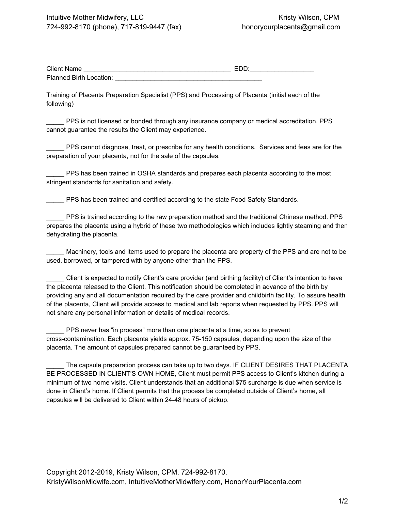| <b>Client Name</b>      | <b>EDD</b> |
|-------------------------|------------|
| Planned Birth Location: |            |

Training of Placenta Preparation Specialist (PPS) and Processing of Placenta (initial each of the following)

\_\_\_\_\_ PPS is not licensed or bonded through any insurance company or medical accreditation. PPS cannot guarantee the results the Client may experience.

\_\_\_\_\_ PPS cannot diagnose, treat, or prescribe for any health conditions. Services and fees are for the preparation of your placenta, not for the sale of the capsules.

\_\_\_\_\_ PPS has been trained in OSHA standards and prepares each placenta according to the most stringent standards for sanitation and safety.

\_\_\_\_\_ PPS has been trained and certified according to the state Food Safety Standards.

\_\_\_\_\_ PPS is trained according to the raw preparation method and the traditional Chinese method. PPS prepares the placenta using a hybrid of these two methodologies which includes lightly steaming and then dehydrating the placenta.

Machinery, tools and items used to prepare the placenta are property of the PPS and are not to be used, borrowed, or tampered with by anyone other than the PPS.

\_\_\_\_\_ Client is expected to notify Client's care provider (and birthing facility) of Client's intention to have the placenta released to the Client. This notification should be completed in advance of the birth by providing any and all documentation required by the care provider and childbirth facility. To assure health of the placenta, Client will provide access to medical and lab reports when requested by PPS. PPS will not share any personal information or details of medical records.

\_\_\_\_\_ PPS never has "in process" more than one placenta at a time, so as to prevent cross-contamination. Each placenta yields approx. 75-150 capsules, depending upon the size of the placenta. The amount of capsules prepared cannot be guaranteed by PPS.

The capsule preparation process can take up to two days. IF CLIENT DESIRES THAT PLACENTA BE PROCESSED IN CLIENT'S OWN HOME, Client must permit PPS access to Client's kitchen during a minimum of two home visits. Client understands that an additional \$75 surcharge is due when service is done in Client's home. If Client permits that the process be completed outside of Client's home, all capsules will be delivered to Client within 24-48 hours of pickup.